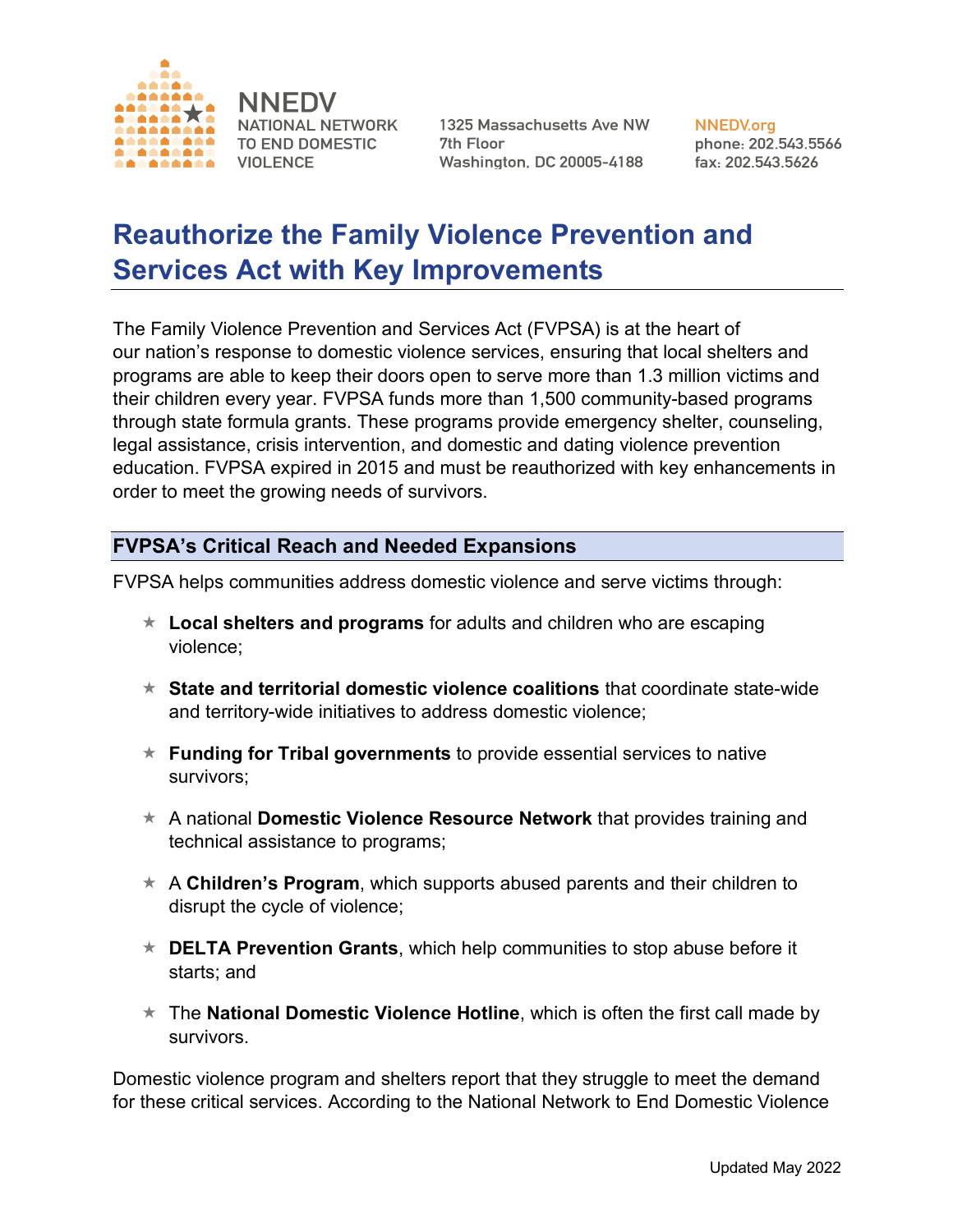

**NNEDV** NATIONAL NETWORK TO END DOMESTIC **VIOLENCE** 

1325 Massachusetts Ave NW 7th Floor **Washington, DC 20005-4188** 

**NNEDV.org** phone: 202.543.5566 fax: 202.543.5626

## **Reauthorize the Family Violence Prevention and Services Act with Key Improvements**

The Family Violence Prevention and Services Act (FVPSA) is at the heart of our nation's response to domestic violence services, ensuring that local shelters and programs are able to keep their doors open to serve more than 1.3 million victims and their children every year. FVPSA funds more than 1,500 community-based programs through state formula grants. These programs provide emergency shelter, counseling, legal assistance, crisis intervention, and domestic and dating violence prevention education. FVPSA expired in 2015 and must be reauthorized with key enhancements in order to meet the growing needs of survivors.

## **FVPSA's Critical Reach and Needed Expansions**

FVPSA helps communities address domestic violence and serve victims through:

- $\star$  Local shelters and programs for adults and children who are escaping violence;
- « **State and territorial domestic violence coalitions** that coordinate state-wide and territory-wide initiatives to address domestic violence;
- « **Funding for Tribal governments** to provide essential services to native survivors;
- « A national **Domestic Violence Resource Network** that provides training and technical assistance to programs;
- $\star$  A **Children's Program**, which supports abused parents and their children to disrupt the cycle of violence;
- « **DELTA Prevention Grants**, which help communities to stop abuse before it starts; and
- « The **National Domestic Violence Hotline**, which is often the first call made by survivors.

Domestic violence program and shelters report that they struggle to meet the demand for these critical services. According to the National Network to End Domestic Violence